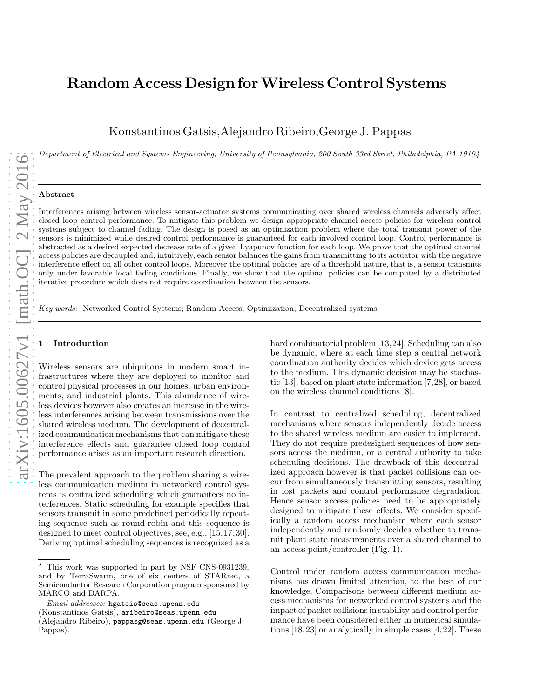# Random Access Design for Wireless Control Systems

Konstantinos Gatsis,Alejandro Ribeiro,George J. Pappas

Department of Electrical and Systems Engineering, University of Pennsylvania, 200 South 33rd Street, Philadelphia, PA 19104

## Abstract

Interferences arising between wireless sensor-actuator systems communicating over shared wireless channels adversely affect closed loop control performance. To mitigate this problem we design appropriate channel access policies for wireless control systems subject to channel fading. The design is posed as an optimization problem where the total transmit power of the sensors is minimized while desired control performance is guaranteed for each involved control loop. Control performance is abstracted as a desired expected decrease rate of a given Lyapunov function for each loop. We prove that the optimal channel access policies are decoupled and, intuitively, each sensor balances the gains from transmitting to its actuator with the negative interference effect on all other control loops. Moreover the optimal policies are of a threshold nature, that is, a sensor transmits only under favorable local fading conditions. Finally, we show that the optimal policies can be computed by a distributed iterative procedure which does not require coordination between the sensors.

Key words: Networked Control Systems; Random Access; Optimization; Decentralized systems;

# **Introduction**

Wireless sensors are ubiquitous in modern smart infrastructures where they are deployed to monitor and control physical processes in our homes, urban environments, and industrial plants. This abundance of wireless devices however also creates an increase in the wireless interferences arising between transmissions over the shared wireless medium. The development of decentralized communication mechanisms that can mitigate these interference effects and guarantee closed loop control performance arises as an important research direction.

The prevalent approach to the problem sharing a wireless communication medium in networked control systems is centralized scheduling which guarantees no interferences. Static scheduling for example specifies that sensors transmit in some predefined periodically repeating sequence such as round-robin and this sequence is designed to meet control objectives, see, e.g., [15,17,30]. Deriving optimal scheduling sequences is recognized as a hard combinatorial problem [13,24]. Scheduling can also be dynamic, where at each time step a central network coordination authority decides which device gets access to the medium. This dynamic decision may be stochastic [13], based on plant state information [7,28], or based on the wireless channel conditions [8].

In contrast to centralized scheduling, decentralized mechanisms where sensors independently decide access to the shared wireless medium are easier to implement. They do not require predesigned sequences of how sensors access the medium, or a central authority to take scheduling decisions. The drawback of this decentralized approach however is that packet collisions can occur from simultaneously transmitting sensors, resulting in lost packets and control performance degradation. Hence sensor access policies need to be appropriately designed to mitigate these effects. We consider specifically a random access mechanism where each sensor independently and randomly decides whether to transmit plant state measurements over a shared channel to an access point/controller (Fig. 1).

Control under random access communication mechanisms has drawn limited attention, to the best of our knowledge. Comparisons between different medium access mechanisms for networked control systems and the impact of packet collisions in stability and control performance have been considered either in numerical simulations [18,23] or analytically in simple cases [4,22]. These

 $\star$  This work was supported in part by NSF CNS-0931239, and by TerraSwarm, one of six centers of STARnet, a Semiconductor Research Corporation program sponsored by MARCO and DARPA.

 $Email \; addresses: \; kgatsis@seas.upenn.edu$ 

<sup>(</sup>Konstantinos Gatsis), aribeiro@seas.upenn.edu

<sup>(</sup>Alejandro Ribeiro), pappasg@seas.upenn.edu (George J. Pappas).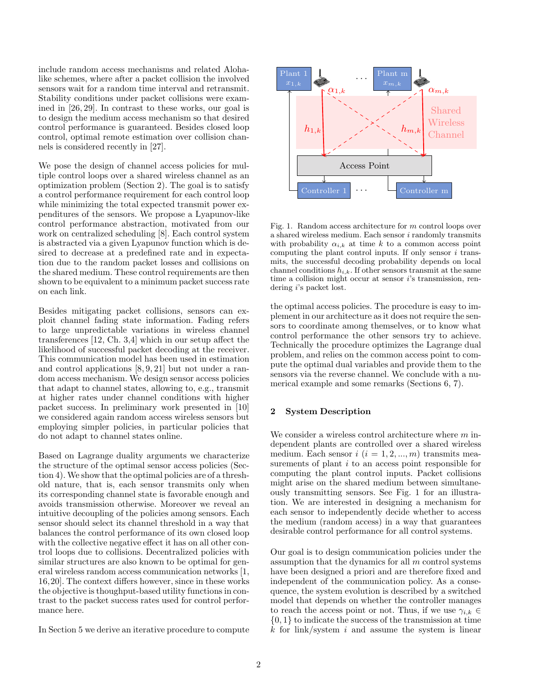include random access mechanisms and related Alohalike schemes, where after a packet collision the involved sensors wait for a random time interval and retransmit. Stability conditions under packet collisions were examined in [26, 29]. In contrast to these works, our goal is to design the medium access mechanism so that desired control performance is guaranteed. Besides closed loop control, optimal remote estimation over collision channels is considered recently in [27].

We pose the design of channel access policies for multiple control loops over a shared wireless channel as an optimization problem (Section 2). The goal is to satisfy a control performance requirement for each control loop while minimizing the total expected transmit power expenditures of the sensors. We propose a Lyapunov-like control performance abstraction, motivated from our work on centralized scheduling [8]. Each control system is abstracted via a given Lyapunov function which is desired to decrease at a predefined rate and in expectation due to the random packet losses and collisions on the shared medium. These control requirements are then shown to be equivalent to a minimum packet success rate on each link.

Besides mitigating packet collisions, sensors can exploit channel fading state information. Fading refers to large unpredictable variations in wireless channel transferences [12, Ch. 3,4] which in our setup affect the likelihood of successful packet decoding at the receiver. This communication model has been used in estimation and control applications [8, 9, 21] but not under a random access mechanism. We design sensor access policies that adapt to channel states, allowing to, e.g., transmit at higher rates under channel conditions with higher packet success. In preliminary work presented in [10] we considered again random access wireless sensors but employing simpler policies, in particular policies that do not adapt to channel states online.

Based on Lagrange duality arguments we characterize the structure of the optimal sensor access policies (Section 4). We show that the optimal policies are of a threshold nature, that is, each sensor transmits only when its corresponding channel state is favorable enough and avoids transmission otherwise. Moreover we reveal an intuitive decoupling of the policies among sensors. Each sensor should select its channel threshold in a way that balances the control performance of its own closed loop with the collective negative effect it has on all other control loops due to collisions. Decentralized policies with similar structures are also known to be optimal for general wireless random access communication networks [1, 16,20]. The context differs however, since in these works the objective is thoughput-based utility functions in contrast to the packet success rates used for control performance here.

In Section 5 we derive an iterative procedure to compute



Fig. 1. Random access architecture for m control loops over a shared wireless medium. Each sensor i randomly transmits with probability  $\alpha_{i,k}$  at time k to a common access point computing the plant control inputs. If only sensor  $i$  transmits, the successful decoding probability depends on local channel conditions  $h_{i,k}$ . If other sensors transmit at the same time a collision might occur at sensor i's transmission, rendering i's packet lost.

the optimal access policies. The procedure is easy to implement in our architecture as it does not require the sensors to coordinate among themselves, or to know what control performance the other sensors try to achieve. Technically the procedure optimizes the Lagrange dual problem, and relies on the common access point to compute the optimal dual variables and provide them to the sensors via the reverse channel. We conclude with a numerical example and some remarks (Sections 6, 7).

# 2 System Description

We consider a wireless control architecture where  $m$  independent plants are controlled over a shared wireless medium. Each sensor  $i$   $(i = 1, 2, ..., m)$  transmits measurements of plant  $i$  to an access point responsible for computing the plant control inputs. Packet collisions might arise on the shared medium between simultaneously transmitting sensors. See Fig. 1 for an illustration. We are interested in designing a mechanism for each sensor to independently decide whether to access the medium (random access) in a way that guarantees desirable control performance for all control systems.

Our goal is to design communication policies under the assumption that the dynamics for all  $m$  control systems have been designed a priori and are therefore fixed and independent of the communication policy. As a consequence, the system evolution is described by a switched model that depends on whether the controller manages to reach the access point or not. Thus, if we use  $\gamma_{i,k} \in$  $\{0,1\}$  to indicate the success of the transmission at time  $k$  for link/system i and assume the system is linear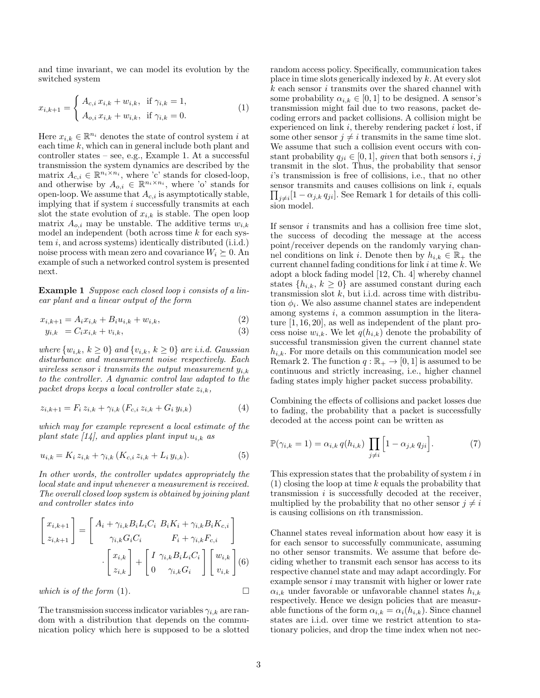and time invariant, we can model its evolution by the switched system

$$
x_{i,k+1} = \begin{cases} A_{c,i} x_{i,k} + w_{i,k}, & \text{if } \gamma_{i,k} = 1, \\ A_{o,i} x_{i,k} + w_{i,k}, & \text{if } \gamma_{i,k} = 0. \end{cases}
$$
 (1)

Here  $x_{i,k} \in \mathbb{R}^{n_i}$  denotes the state of control system i at each time k, which can in general include both plant and controller states – see, e.g., Example 1. At a successful transmission the system dynamics are described by the matrix  $A_{c,i} \in \mathbb{R}^{n_i \times n_i}$ , where 'c' stands for closed-loop, and otherwise by  $A_{o,i} \in \mathbb{R}^{n_i \times n_i}$ , where 'o' stands for open-loop. We assume that  $A_{c,i}$  is asymptotically stable, implying that if system  $i$  successfully transmits at each slot the state evolution of  $x_{i,k}$  is stable. The open loop matrix  $A_{o,i}$  may be unstable. The additive terms  $w_{i,k}$ model an independent (both across time  $k$  for each system  $i$ , and across systems) identically distributed (i.i.d.) noise process with mean zero and covariance  $W_i \succeq 0$ . An example of such a networked control system is presented next.

Example 1 Suppose each closed loop i consists of a linear plant and a linear output of the form

$$
x_{i,k+1} = A_i x_{i,k} + B_i u_{i,k} + w_{i,k},
$$
\n(2)

$$
y_{i,k} = C_i x_{i,k} + v_{i,k}, \qquad (3)
$$

where  $\{w_{i,k}, k \geq 0\}$  and  $\{v_{i,k}, k \geq 0\}$  are i.i.d. Gaussian disturbance and measurement noise respectively. Each wireless sensor i transmits the output measurement  $y_{i,k}$ to the controller. A dynamic control law adapted to the packet drops keeps a local controller state  $z_{i,k}$ ,

$$
z_{i,k+1} = F_i z_{i,k} + \gamma_{i,k} (F_{c,i} z_{i,k} + G_i y_{i,k})
$$
\n(4)

which may for example represent a local estimate of the plant state  $\left[14\right]$ , and applies plant input  $u_{i,k}$  as

$$
u_{i,k} = K_i z_{i,k} + \gamma_{i,k} (K_{c,i} z_{i,k} + L_i y_{i,k}).
$$
\n(5)

In other words, the controller updates appropriately the local state and input whenever a measurement is received. The overall closed loop system is obtained by joining plant and controller states into

$$
\begin{bmatrix} x_{i,k+1} \\ z_{i,k+1} \end{bmatrix} = \begin{bmatrix} A_i + \gamma_{i,k} B_i L_i C_i & B_i K_i + \gamma_{i,k} B_i K_{c,i} \\ \gamma_{i,k} G_i C_i & F_i + \gamma_{i,k} F_{c,i} \end{bmatrix}
$$
\n
$$
\cdot \begin{bmatrix} x_{i,k} \\ z_{i,k} \end{bmatrix} + \begin{bmatrix} I & \gamma_{i,k} B_i L_i C_i \\ 0 & \gamma_{i,k} G_i \end{bmatrix} \begin{bmatrix} w_{i,k} \\ v_{i,k} \end{bmatrix} (6)
$$
\nwhich is of the form (1).

The transmission success indicator variables  $\gamma_{i,k}$  are random with a distribution that depends on the communication policy which here is supposed to be a slotted random access policy. Specifically, communication takes place in time slots generically indexed by k. At every slot  $k$  each sensor  $i$  transmits over the shared channel with some probability  $\alpha_{i,k} \in [0,1]$  to be designed. A sensor's transmission might fail due to two reasons, packet decoding errors and packet collisions. A collision might be experienced on link  $i$ , thereby rendering packet  $i$  lost, if some other sensor  $j \neq i$  transmits in the same time slot. We assume that such a collision event occurs with constant probability  $q_{ji} \in [0, 1]$ , given that both sensors  $i, j$ transmit in the slot. Thus, the probability that sensor i's transmission is free of collisions, i.e., that no other sensor transmits and causes collisions on link  $i$ , equals  $\prod_{j\neq i}[1-\alpha_{j,k} q_{ji}]$ . See Remark 1 for details of this collision model.

If sensor i transmits and has a collision free time slot, the success of decoding the message at the access point/receiver depends on the randomly varying channel conditions on link *i*. Denote then by  $h_{i,k} \in \mathbb{R}_+$  the current channel fading conditions for link  $i$  at time  $k$ . We adopt a block fading model [12, Ch. 4] whereby channel states  $\{h_{i,k}, k \geq 0\}$  are assumed constant during each transmission slot  $k$ , but i.i.d. across time with distribution  $\phi_i$ . We also assume channel states are independent among systems  $i$ , a common assumption in the literature [1, 16, 20], as well as independent of the plant process noise  $w_{i,k}$ . We let  $q(h_{i,k})$  denote the probability of successful transmission given the current channel state  $h_{i,k}$ . For more details on this communication model see Remark 2. The function  $q : \mathbb{R}_+ \to [0,1]$  is assumed to be continuous and strictly increasing, i.e., higher channel fading states imply higher packet success probability.

Combining the effects of collisions and packet losses due to fading, the probability that a packet is successfully decoded at the access point can be written as

$$
\mathbb{P}(\gamma_{i,k} = 1) = \alpha_{i,k} q(h_{i,k}) \prod_{j \neq i} \left[1 - \alpha_{j,k} q_{ji}\right]. \tag{7}
$$

This expression states that the probability of system  $i$  in  $(1)$  closing the loop at time k equals the probability that transmission  $i$  is successfully decoded at the receiver, multiplied by the probability that no other sensor  $j \neq i$ is causing collisions on ith transmission.

Channel states reveal information about how easy it is for each sensor to successfully communicate, assuming no other sensor transmits. We assume that before deciding whether to transmit each sensor has access to its respective channel state and may adapt accordingly. For example sensor i may transmit with higher or lower rate  $\alpha_{i,k}$  under favorable or unfavorable channel states  $h_{i,k}$ respectively. Hence we design policies that are measurable functions of the form  $\alpha_{i,k} = \alpha_i(h_{i,k})$ . Since channel states are i.i.d. over time we restrict attention to stationary policies, and drop the time index when not nec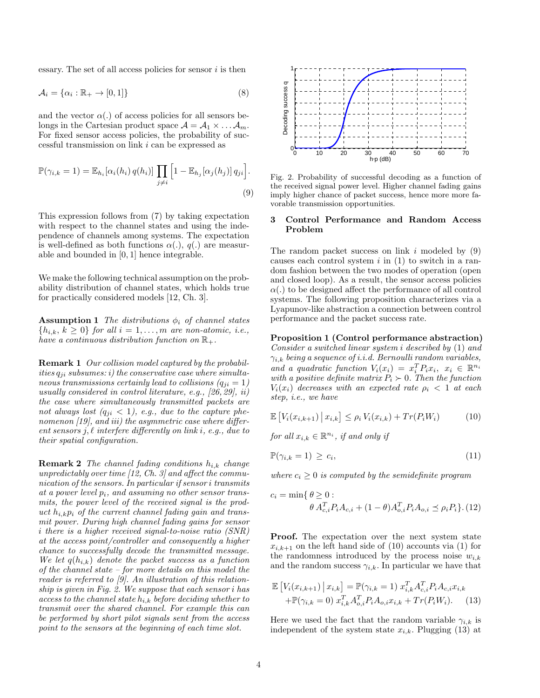essary. The set of all access policies for sensor  $i$  is then

$$
\mathcal{A}_i = \{ \alpha_i : \mathbb{R}_+ \to [0, 1] \} \tag{8}
$$

and the vector  $\alpha(.)$  of access policies for all sensors belongs in the Cartesian product space  $\mathcal{A} = \mathcal{A}_1 \times \ldots \mathcal{A}_m$ . For fixed sensor access policies, the probability of successful transmission on link i can be expressed as

$$
\mathbb{P}(\gamma_{i,k}=1) = \mathbb{E}_{h_i}[\alpha_i(h_i) q(h_i)] \prod_{j \neq i} \left[1 - \mathbb{E}_{h_j}[\alpha_j(h_j)] q_{ji}\right].
$$
\n(9)

This expression follows from (7) by taking expectation with respect to the channel states and using the independence of channels among systems. The expectation is well-defined as both functions  $\alpha(.)$ ,  $q(.)$  are measurable and bounded in [0, 1] hence integrable.

We make the following technical assumption on the probability distribution of channel states, which holds true for practically considered models [12, Ch. 3].

**Assumption 1** The distributions  $\phi_i$  of channel states  $\{h_{i,k}, k \geq 0\}$  for all  $i = 1, \ldots, m$  are non-atomic, i.e., have a continuous distribution function on  $\mathbb{R}_+$ .

Remark 1 Our collision model captured by the probabilities  $q_{ji}$  subsumes: i) the conservative case where simultaneous transmissions certainly lead to collisions  $(q_{ji} = 1)$ usually considered in control literature, e.g., [26, 29], ii) the case where simultaneously transmitted packets are not always lost  $(q_{ji} < 1)$ , e.g., due to the capture phenomenon [19], and iii) the asymmetric case where different sensors j,  $\ell$  interfere differently on link i, e.g., due to their spatial configuration.

**Remark 2** The channel fading conditions  $h_{i,k}$  change unpredictably over time  $(12, Ch. 3)$  and affect the communication of the sensors. In particular if sensor i transmits at a power level  $p_i$ , and assuming no other sensor transmits, the power level of the received signal is the product  $h_{i,k}p_i$  of the current channel fading gain and transmit power. During high channel fading gains for sensor i there is a higher received signal-to-noise ratio (SNR) at the access point/controller and consequently a higher chance to successfully decode the transmitted message. We let  $q(h_{i,k})$  denote the packet success as a function of the channel state – for more details on this model the reader is referred to [9]. An illustration of this relationship is given in Fig. 2. We suppose that each sensor i has access to the channel state  $h_{i,k}$  before deciding whether to transmit over the shared channel. For example this can be performed by short pilot signals sent from the access point to the sensors at the beginning of each time slot.



Fig. 2. Probability of successful decoding as a function of the received signal power level. Higher channel fading gains imply higher chance of packet success, hence more more favorable transmission opportunities.

## 3 Control Performance and Random Access Problem

The random packet success on link  $i$  modeled by  $(9)$ causes each control system  $i$  in  $(1)$  to switch in a random fashion between the two modes of operation (open and closed loop). As a result, the sensor access policies  $\alpha(.)$  to be designed affect the performance of all control systems. The following proposition characterizes via a Lyapunov-like abstraction a connection between control performance and the packet success rate.

Proposition 1 (Control performance abstraction) Consider a switched linear system i described by (1) and  $\gamma_{i,k}$  being a sequence of i.i.d. Bernoulli random variables, and a quadratic function  $V_i(x_i) = x_i^T P_i x_i, x_i \in \mathbb{R}^{n_i}$ with a positive definite matrix  $P_i \succ 0$ . Then the function  $V_i(x_i)$  decreases with an expected rate  $\rho_i < 1$  at each step, i.e., we have

$$
\mathbb{E}\left[V_{i}(x_{i,k+1})\,\big|\,x_{i,k}\right] \leq \rho_{i}\,V_{i}(x_{i,k}) + Tr(P_{i}W_{i})\tag{10}
$$

for all  $x_{i,k} \in \mathbb{R}^{n_i}$ , if and only if

$$
\mathbb{P}(\gamma_{i,k}=1) \geq c_i,\tag{11}
$$

where  $c_i \geq 0$  is computed by the semidefinite program

$$
c_i = \min\{\theta \ge 0 : \theta A_{c,i}^T P_i A_{c,i} + (1 - \theta) A_{o,i}^T P_i A_{o,i} \le \rho_i P_i\}.
$$
(12)

Proof. The expectation over the next system state  $x_{i,k+1}$  on the left hand side of (10) accounts via (1) for the randomness introduced by the process noise  $w_{i,k}$ and the random success  $\gamma_{i,k}$ . In particular we have that

$$
\mathbb{E}\left[V_i(x_{i,k+1})\,\big|\,x_{i,k}\right] = \mathbb{P}(\gamma_{i,k} = 1)\,\,x_{i,k}^T A_{c,i}^T P_i A_{c,i} x_{i,k} + \mathbb{P}(\gamma_{i,k} = 0)\,\,x_{i,k}^T A_{o,i}^T P_i A_{o,i} x_{i,k} + Tr(P_i W_i). \tag{13}
$$

Here we used the fact that the random variable  $\gamma_{i,k}$  is independent of the system state  $x_{i,k}$ . Plugging (13) at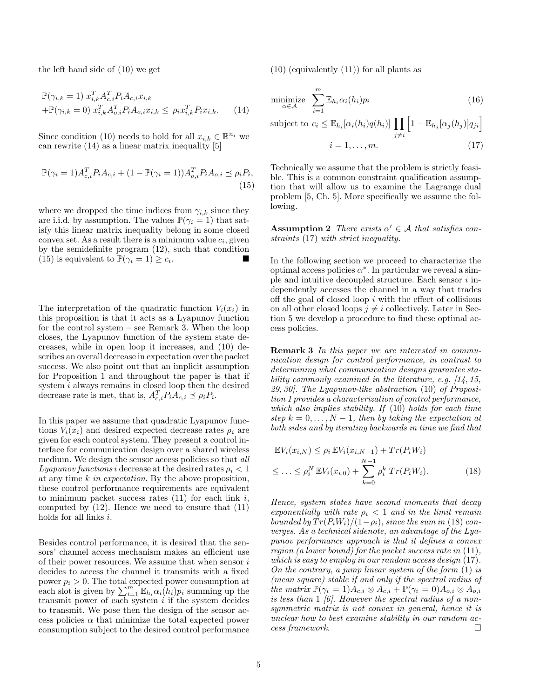the left hand side of (10) we get

$$
\mathbb{P}(\gamma_{i,k} = 1) \; x_{i,k}^T A_{c,i}^T P_i A_{c,i} x_{i,k} \n+ \mathbb{P}(\gamma_{i,k} = 0) \; x_{i,k}^T A_{o,i}^T P_i A_{o,i} x_{i,k} \le \rho_i x_{i,k}^T P_i x_{i,k}.
$$
\n(14)

Since condition (10) needs to hold for all  $x_{i,k} \in \mathbb{R}^{n_i}$  we can rewrite (14) as a linear matrix inequality [5]

$$
\mathbb{P}(\gamma_i = 1) A_{c,i}^T P_i A_{c,i} + (1 - \mathbb{P}(\gamma_i = 1)) A_{o,i}^T P_i A_{o,i} \preceq \rho_i P_i,
$$
\n(15)

where we dropped the time indices from  $\gamma_{i,k}$  since they are i.i.d. by assumption. The values  $\mathbb{P}(\gamma_i = 1)$  that satisfy this linear matrix inequality belong in some closed convex set. As a result there is a minimum value  $c_i$ , given by the semidefinite program (12), such that condition (15) is equivalent to  $\mathbb{P}(\gamma_i = 1) \geq c_i$ . .

The interpretation of the quadratic function  $V_i(x_i)$  in this proposition is that it acts as a Lyapunov function for the control system – see Remark 3. When the loop closes, the Lyapunov function of the system state decreases, while in open loop it increases, and (10) describes an overall decrease in expectation over the packet success. We also point out that an implicit assumption for Proposition 1 and throughout the paper is that if system i always remains in closed loop then the desired decrease rate is met, that is,  $A_{c,i}^T P_i A_{c,i} \preceq \rho_i P_i$ .

In this paper we assume that quadratic Lyapunov functions  $V_i(x_i)$  and desired expected decrease rates  $\rho_i$  are given for each control system. They present a control interface for communication design over a shared wireless medium. We design the sensor access policies so that all Lyapunov functions i decrease at the desired rates  $\rho_i < 1$ at any time  $k$  in expectation. By the above proposition, these control performance requirements are equivalent to minimum packet success rates  $(11)$  for each link i, computed by (12). Hence we need to ensure that (11) holds for all links i.

Besides control performance, it is desired that the sensors' channel access mechanism makes an efficient use of their power resources. We assume that when sensor  $i$ decides to access the channel it transmits with a fixed power  $p_i > 0$ . The total expected power consumption at each slot is given by  $\sum_{i=1}^{m} \mathbb{E}_{h_i} \alpha_i(h_i) p_i$  summing up the transmit power of each system  $i$  if the system decides to transmit. We pose then the design of the sensor access policies  $\alpha$  that minimize the total expected power consumption subject to the desired control performance  $(10)$  (equivalently  $(11)$ ) for all plants as

$$
\underset{\alpha \in \mathcal{A}}{\text{minimize}} \quad \sum_{i=1}^{m} \mathbb{E}_{h_i} \alpha_i(h_i) p_i \tag{16}
$$

subject to  $c_i \leq \mathbb{E}_{h_i}[\alpha_i(h_i)q(h_i)]$  $j\neq i$  $\left[1 - \mathbb{E}_{h_j}[\alpha_j(h_j)]q_{ji}\right]$ 

$$
i = 1, \dots, m. \tag{17}
$$

Technically we assume that the problem is strictly feasible. This is a common constraint qualification assumption that will allow us to examine the Lagrange dual problem [5, Ch. 5]. More specifically we assume the following.

**Assumption 2** There exists  $\alpha' \in \mathcal{A}$  that satisfies constraints (17) with strict inequality.

In the following section we proceed to characterize the optimal access policies  $\alpha^*$ . In particular we reveal a simple and intuitive decoupled structure. Each sensor i independently accesses the channel in a way that trades off the goal of closed loop  $i$  with the effect of collisions on all other closed loops  $j \neq i$  collectively. Later in Section 5 we develop a procedure to find these optimal access policies.

**Remark 3** In this paper we are interested in communication design for control performance, in contrast to determining what communication designs guarantee stability commonly examined in the literature, e.g. [14, 15, 29, 30]. The Lyapunov-like abstraction (10) of Proposition 1 provides a characterization of control performance, which also implies stability. If (10) holds for each time step  $k = 0, \ldots, N - 1$ , then by taking the expectation at both sides and by iterating backwards in time we find that

$$
\mathbb{E}V_i(x_{i,N}) \le \rho_i \mathbb{E}V_i(x_{i,N-1}) + Tr(P_i W_i)
$$
  
\n
$$
\le \dots \le \rho_i^N \mathbb{E}V_i(x_{i,0}) + \sum_{k=0}^{N-1} \rho_i^k Tr(P_i W_i).
$$
 (18)

Hence, system states have second moments that decay exponentially with rate  $\rho_i < 1$  and in the limit remain bounded by  $Tr(P_iW_i)/(1-\rho_i)$ , since the sum in (18) converges. As a technical sidenote, an advantage of the Lyapunov performance approach is that it defines a convex region (a lower bound) for the packet success rate in (11), which is easy to employ in our random access design (17). On the contrary, a jump linear system of the form  $(1)$  is (mean square) stable if and only if the spectral radius of the matrix  $\mathbb{P}(\gamma_i = 1)A_{c,i} \otimes A_{c,i} + \mathbb{P}(\gamma_i = 0)A_{o,i} \otimes A_{o,i}$ is less than  $1/6$ . However the spectral radius of a nonsymmetric matrix is not convex in general, hence it is unclear how to best examine stability in our random access framework.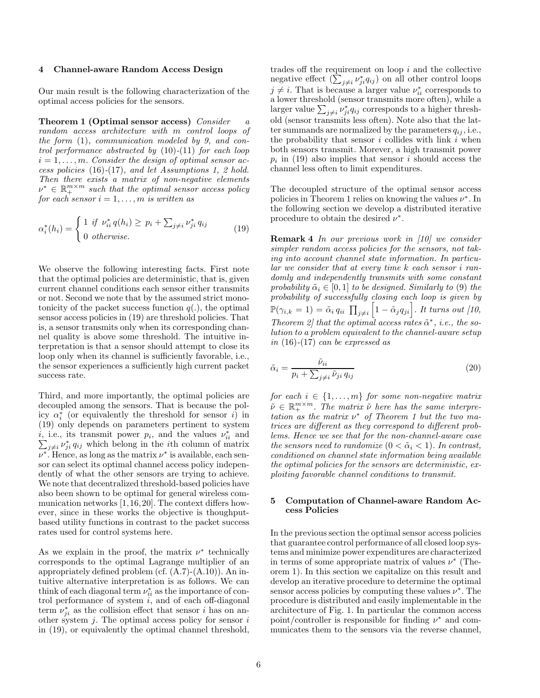#### 4 Channel-aware Random Access Design

Our main result is the following characterization of the optimal access policies for the sensors.

Theorem 1 (Optimal sensor access) Consider a random access architecture with m control loops of the form (1), communication modeled by 9, and control performance abstracted by  $(10)-(11)$  for each loop  $i = 1, \ldots, m$ . Consider the design of optimal sensor access policies (16)-(17), and let Assumptions 1, 2 hold. Then there exists a matrix of non-negative elements  $\nu^* \in \mathbb{R}^{m \times m}_+$  such that the optimal sensor access policy for each sensor  $i = 1, \ldots, m$  is written as

$$
\alpha_i^*(h_i) = \begin{cases} 1 & \text{if } \nu_{ii}^* q(h_i) \ge p_i + \sum_{j \ne i} \nu_{ji}^* q_{ij} \\ 0 & \text{otherwise.} \end{cases}
$$
(19)

We observe the following interesting facts. First note that the optimal policies are deterministic, that is, given current channel conditions each sensor either transmits or not. Second we note that by the assumed strict monotonicity of the packet success function  $q(.)$ , the optimal sensor access policies in (19) are threshold policies. That is, a sensor transmits only when its corresponding channel quality is above some threshold. The intuitive interpretation is that a sensor should attempt to close its loop only when its channel is sufficiently favorable, i.e., the sensor experiences a sufficiently high current packet success rate.

Third, and more importantly, the optimal policies are decoupled among the sensors. That is because the policy  $\alpha_i^*$  (or equivalently the threshold for sensor i) in (19) only depends on parameters pertinent to system *i*, i.e., its transmit power  $p_i$ , and the values  $\nu_{ii}^*$  and  $\sum_{j\neq i} \nu_{ji}^* q_{ij}$  which belong in the *i*th column of matrix  $\nu^*$ . Hence, as long as the matrix  $\nu^*$  is available, each sensor can select its optimal channel access policy independently of what the other sensors are trying to achieve. We note that decentralized threshold-based policies have also been shown to be optimal for general wireless communication networks [1,16,20]. The context differs however, since in these works the objective is thoughputbased utility functions in contrast to the packet success rates used for control systems here.

As we explain in the proof, the matrix  $\nu^*$  technically corresponds to the optimal Lagrange multiplier of an appropriately defined problem (cf.  $(A.7)-(A.10)$ ). An intuitive alternative interpretation is as follows. We can think of each diagonal term  $\nu_{ii}^*$  as the importance of control performance of system  $i$ , and of each off-diagonal term  $\nu_{ji}^*$  as the collision effect that sensor *i* has on another system  $j$ . The optimal access policy for sensor  $i$ in (19), or equivalently the optimal channel threshold, trades off the requirement on loop i and the collective negative effect  $(\sum_{j\neq i} \nu_{ji}^* q_{ij})$  on all other control loops  $j \neq i$ . That is because a larger value  $\nu_{ii}^*$  corresponds to a lower threshold (sensor transmits more often), while a larger value  $\sum_{j\neq i}\nu_{ji}^*q_{ij}$  corresponds to a higher threshold (sensor transmits less often). Note also that the latter summands are normalized by the parameters  $q_{ij}$ , i.e., the probability that sensor  $i$  collides with link  $i$  when both sensors transmit. Morever, a high transmit power  $p_i$  in (19) also implies that sensor i should access the channel less often to limit expenditures.

The decoupled structure of the optimal sensor access policies in Theorem 1 relies on knowing the values  $\nu^*$ . In the following section we develop a distributed iterative procedure to obtain the desired  $\nu^*$ .

Remark 4 In our previous work in [10] we consider simpler random access policies for the sensors, not taking into account channel state information. In particular we consider that at every time k each sensor i randomly and independently transmits with some constant probability  $\tilde{\alpha}_i \in [0, 1]$  to be designed. Similarly to (9) the probability of successfully closing each loop is given by  $\mathbb{P}(\gamma_{i,k}=1)=\tilde{\alpha}_i q_{ii} \prod_{j\neq i} \left[1-\tilde{\alpha}_j q_{ji}\right]$ . It turns out [10, Theorem 2] that the optimal access rates  $\tilde{\alpha}^*$ , i.e., the solution to a problem equivalent to the channel-aware setup in  $(16)-(17)$  can be expressed as

$$
\tilde{\alpha}_i = \frac{\tilde{\nu}_{ii}}{p_i + \sum_{j \neq i} \tilde{\nu}_{ji} q_{ij}} \tag{20}
$$

for each  $i \in \{1, \ldots, m\}$  for some non-negative matrix  $\tilde{\nu} \in \mathbb{R}_+^{m \times m}$ . The matrix  $\tilde{\nu}$  here has the same interpretation as the matrix  $\nu^*$  of Theorem 1 but the two matrices are different as they correspond to different problems. Hence we see that for the non-channel-aware case the sensors need to randomize  $(0 < \tilde{\alpha}_i < 1)$ . In contrast, conditioned on channel state information being available the optimal policies for the sensors are deterministic, exploiting favorable channel conditions to transmit.

## 5 Computation of Channel-aware Random Access Policies

In the previous section the optimal sensor access policies that guarantee control performance of all closed loop systems and minimize power expenditures are characterized in terms of some appropriate matrix of values  $\nu^*$  (Theorem 1). In this section we capitalize on this result and develop an iterative procedure to determine the optimal sensor access policies by computing these values  $\nu^*$ . The procedure is distributed and easily implementable in the architecture of Fig. 1. In particular the common access point/controller is responsible for finding  $\nu^*$  and communicates them to the sensors via the reverse channel,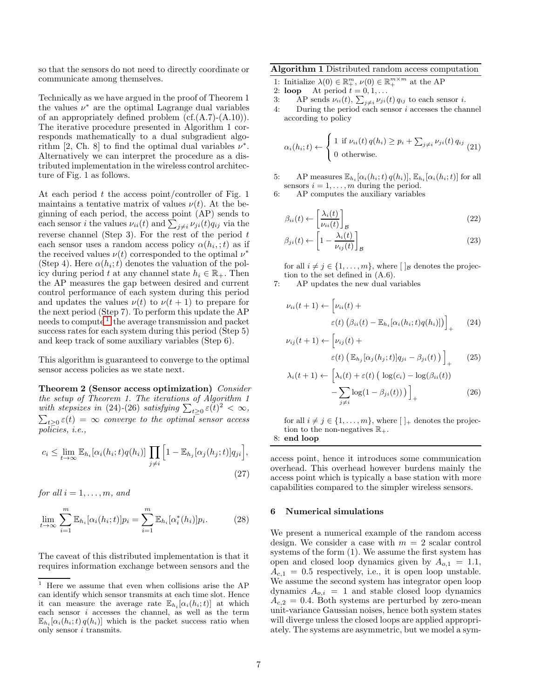so that the sensors do not need to directly coordinate or communicate among themselves.

Technically as we have argued in the proof of Theorem 1 the values  $\nu^*$  are the optimal Lagrange dual variables of an appropriately defined problem  $(cf.(A.7)-(A.10)).$ The iterative procedure presented in Algorithm 1 corresponds mathematically to a dual subgradient algorithm [2, Ch. 8] to find the optimal dual variables  $\nu^*$ . Alternatively we can interpret the procedure as a distributed implementation in the wireless control architecture of Fig. 1 as follows.

At each period  $t$  the access point/controller of Fig. 1 maintains a tentative matrix of values  $\nu(t)$ . At the beginning of each period, the access point (AP) sends to each sensor *i* the values  $\nu_{ii}(t)$  and  $\sum_{j\neq i} \nu_{ji}(t)q_{ij}$  via the reverse channel (Step 3). For the rest of the period  $t$ each sensor uses a random access policy  $\alpha(h_i, t)$  as if the received values  $\nu(t)$  corresponded to the optimal  $\nu^*$ (Step 4). Here  $\alpha(h_i; t)$  denotes the valuation of the policy during period t at any channel state  $h_i \in \mathbb{R}_+$ . Then the AP measures the gap between desired and current control performance of each system during this period and updates the values  $\nu(t)$  to  $\nu(t+1)$  to prepare for the next period (Step 7). To perform this update the AP needs to compute<sup>[1](#page-6-0)</sup> the average transmission and packet success rates for each system during this period (Step 5) and keep track of some auxiliary variables (Step 6).

This algorithm is guaranteed to converge to the optimal sensor access policies as we state next.

Theorem 2 (Sensor access optimization) Consider the setup of Theorem 1. The iterations of Algorithm 1 with stepsizes in (24)-(26) satisfying  $\sum_{t\geq 0} \varepsilon(t)^2 < \infty$ ,  $\sum_{t\geq0}\varepsilon(t)\,=\,\infty$  converge to the optimal sensor access policies, i.e.,

$$
c_i \leq \lim_{t \to \infty} \mathbb{E}_{h_i}[\alpha_i(h_i; t)q(h_i)] \prod_{j \neq i} \left[1 - \mathbb{E}_{h_j}[\alpha_j(h_j; t)]q_{ji}\right],
$$
\n(27)

for all  $i = 1, \ldots, m$ , and

$$
\lim_{t \to \infty} \sum_{i=1}^{m} \mathbb{E}_{h_i}[\alpha_i(h_i; t)] p_i = \sum_{i=1}^{m} \mathbb{E}_{h_i}[\alpha_i^*(h_i)] p_i.
$$
 (28)

The caveat of this distributed implementation is that it requires information exchange between sensors and the 1: Initialize  $\lambda(0) \in \mathbb{R}_+^m$ ,  $\nu(0) \in \mathbb{R}_+^{m \times m}$  at the AP

2: **loop** At period  $t = 0, 1, \ldots$ 

- 3: AP sends  $\nu_{ii}(t)$ ,  $\sum_{j\neq i} \nu_{ji}(t) q_{ij}$  to each sensor *i*.
- 4: During the period each sensor i accesses the channel according to policy

$$
\alpha_i(h_i; t) \leftarrow \begin{cases} 1 \text{ if } \nu_{ii}(t) \, q(h_i) \geq p_i + \sum_{j \neq i} \nu_{ji}(t) \, q_{ij} \\ 0 \text{ otherwise.} \end{cases} (21)
$$

5: AP measures  $\mathbb{E}_{h_i}[\alpha_i(h_i;t) q(h_i)], \mathbb{E}_{h_i}[\alpha_i(h_i;t)]$  for all sensors  $i = 1, \ldots, m$  during the period.

6: AP computes the auxiliary variables

$$
\beta_{ii}(t) \leftarrow \left[\frac{\lambda_i(t)}{\nu_{ii}(t)}\right]_{\mathcal{B}}
$$
\n(22)

$$
\beta_{ji}(t) \leftarrow \left[1 - \frac{\lambda_i(t)}{\nu_{ij}(t)}\right]_{\mathcal{B}}
$$
\n(23)

for all  $i \neq j \in \{1, \ldots, m\}$ , where  $\lceil \cdot \rceil_B$  denotes the projection to the set defined in (A.6).

7: AP updates the new dual variables

$$
\nu_{ii}(t+1) \leftarrow \left[\nu_{ii}(t) + \varepsilon(t) \left(\beta_{ii}(t) - \mathbb{E}_{h_i}[\alpha_i(h_i; t)q(h_i)]\right)\right]_+\tag{24}
$$

$$
\nu_{ij}(t+1) \leftarrow \left[\nu_{ij}(t) + \varepsilon(t) \left( \mathbb{E}_{h_j}[\alpha_j(h_j;t)]q_{ji} - \beta_{ji}(t) \right) \right]_+\tag{25}
$$

$$
\lambda_i(t+1) \leftarrow \left[ \lambda_i(t) + \varepsilon(t) \left( \log(c_i) - \log(\beta_{ii}(t)) - \sum_{j \neq i} \log(1 - \beta_{ji}(t)) \right) \right]_+ \tag{26}
$$

for all  $i \neq j \in \{1, \ldots, m\}$ , where  $\lceil \cdot \rceil$  denotes the projection to the non-negatives  $\mathbb{R}_+$ . 8: end loop

access point, hence it introduces some communication overhead. This overhead however burdens mainly the access point which is typically a base station with more capabilities compared to the simpler wireless sensors.

#### 6 Numerical simulations

We present a numerical example of the random access design. We consider a case with  $m = 2$  scalar control systems of the form (1). We assume the first system has open and closed loop dynamics given by  $A_{o,1} = 1.1$ ,  $A_{c,1} = 0.5$  respectively, i.e., it is open loop unstable. We assume the second system has integrator open loop dynamics  $A_{o,i} = 1$  and stable closed loop dynamics  $A_{c,2} = 0.4$ . Both systems are perturbed by zero-mean unit-variance Gaussian noises, hence both system states will diverge unless the closed loops are applied appropriately. The systems are asymmetric, but we model a sym-

<span id="page-6-0"></span> $^{\rm 1}$  Here we assume that even when collisions arise the AP can identify which sensor transmits at each time slot. Hence it can measure the average rate  $\mathbb{E}_{h_i}[\alpha_i(h_i;t)]$  at which each sensor  $i$  accesses the channel, as well as the term  $\mathbb{E}_{h_i}[\alpha_i(h_i;t)q(h_i)]$  which is the packet success ratio when only sensor i transmits.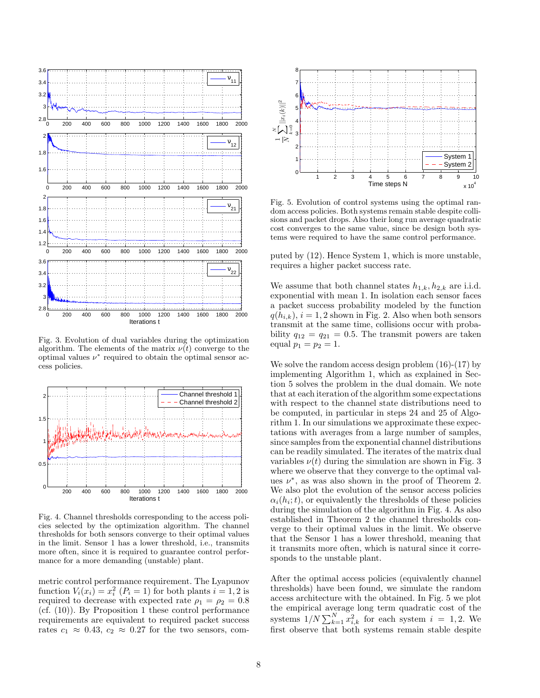

Fig. 3. Evolution of dual variables during the optimization algorithm. The elements of the matrix  $\nu(t)$  converge to the optimal values  $\nu^*$  required to obtain the optimal sensor access policies.



Fig. 4. Channel thresholds corresponding to the access policies selected by the optimization algorithm. The channel thresholds for both sensors converge to their optimal values in the limit. Sensor 1 has a lower threshold, i.e., transmits more often, since it is required to guarantee control performance for a more demanding (unstable) plant.

metric control performance requirement. The Lyapunov function  $V_i(x_i) = x_i^2$   $(P_i = 1)$  for both plants  $i = 1, 2$  is required to decrease with expected rate  $\rho_1 = \rho_2 = 0.8$ (cf. (10)). By Proposition 1 these control performance requirements are equivalent to required packet success rates  $c_1 \approx 0.43$ ,  $c_2 \approx 0.27$  for the two sensors, com-



Fig. 5. Evolution of control systems using the optimal random access policies. Both systems remain stable despite collisions and packet drops. Also their long run average quadratic cost converges to the same value, since be design both systems were required to have the same control performance.

puted by (12). Hence System 1, which is more unstable, requires a higher packet success rate.

We assume that both channel states  $h_{1,k}, h_{2,k}$  are i.i.d. exponential with mean 1. In isolation each sensor faces a packet success probability modeled by the function  $q(h_{i,k}), i = 1, 2$  shown in Fig. 2. Also when both sensors transmit at the same time, collisions occur with probability  $q_{12} = q_{21} = 0.5$ . The transmit powers are taken equal  $p_1 = p_2 = 1$ .

We solve the random access design problem (16)-(17) by implementing Algorithm 1, which as explained in Section 5 solves the problem in the dual domain. We note that at each iteration of the algorithm some expectations with respect to the channel state distributions need to be computed, in particular in steps 24 and 25 of Algorithm 1. In our simulations we approximate these expectations with averages from a large number of samples, since samples from the exponential channel distributions can be readily simulated. The iterates of the matrix dual variables  $\nu(t)$  during the simulation are shown in Fig. 3 where we observe that they converge to the optimal values  $\nu^*$ , as was also shown in the proof of Theorem 2. We also plot the evolution of the sensor access policies  $\alpha_i(h_i; t)$ , or equivalently the thresholds of these policies during the simulation of the algorithm in Fig. 4. As also established in Theorem 2 the channel thresholds converge to their optimal values in the limit. We observe that the Sensor 1 has a lower threshold, meaning that it transmits more often, which is natural since it corresponds to the unstable plant.

After the optimal access policies (equivalently channel thresholds) have been found, we simulate the random access architecture with the obtained. In Fig. 5 we plot the empirical average long term quadratic cost of the systems  $1/N \sum_{k=1}^{N} x_{i,k}^2$  for each system  $i = 1, 2$ . We first observe that both systems remain stable despite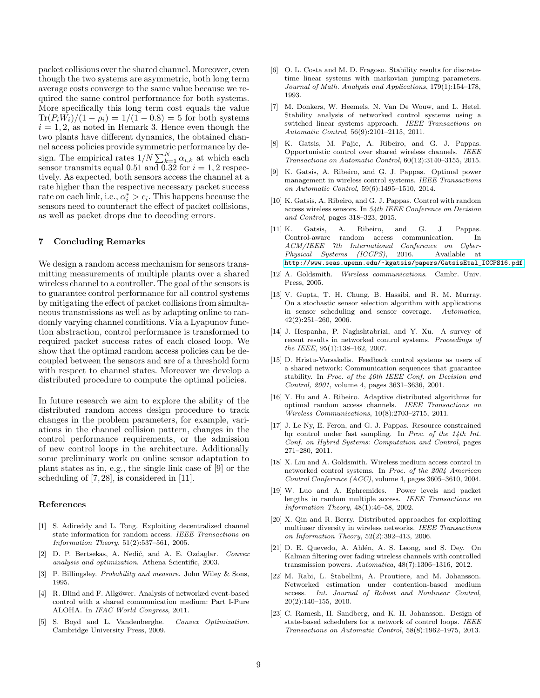packet collisions over the shared channel. Moreover, even though the two systems are asymmetric, both long term average costs converge to the same value because we required the same control performance for both systems. More specifically this long term cost equals the value  $Tr(P_iW_i)/(1-\rho_i) = 1/(1-0.8) = 5$  for both systems  $i = 1, 2$ , as noted in Remark 3. Hence even though the two plants have different dynamics, the obtained channel access policies provide symmetric performance by design. The empirical rates  $1/N \sum_{k=1}^{N} \alpha_{i,k}$  at which each sensor transmits equal 0.51 and  $\overline{0.32}$  for  $i = 1, 2$  respectively. As expected, both sensors access the channel at a rate higher than the respective necessary packet success rate on each link, i.e.,  $\alpha_i^* > c_i$ . This happens because the sensors need to counteract the effect of packet collisions, as well as packet drops due to decoding errors.

## 7 Concluding Remarks

We design a random access mechanism for sensors transmitting measurements of multiple plants over a shared wireless channel to a controller. The goal of the sensors is to guarantee control performance for all control systems by mitigating the effect of packet collisions from simultaneous transmissions as well as by adapting online to randomly varying channel conditions. Via a Lyapunov function abstraction, control performance is transformed to required packet success rates of each closed loop. We show that the optimal random access policies can be decoupled between the sensors and are of a threshold form with respect to channel states. Moreover we develop a distributed procedure to compute the optimal policies.

In future research we aim to explore the ability of the distributed random access design procedure to track changes in the problem parameters, for example, variations in the channel collision pattern, changes in the control performance requirements, or the admission of new control loops in the architecture. Additionally some preliminary work on online sensor adaptation to plant states as in, e.g., the single link case of [9] or the scheduling of [7, 28], is considered in [11].

### References

- [1] S. Adireddy and L. Tong. Exploiting decentralized channel state information for random access. *IEEE Transactions on Information Theory*, 51(2):537–561, 2005.
- [2] D. P. Bertsekas, A. Nedi´c, and A. E. Ozdaglar. *Convex analysis and optimization*. Athena Scientific, 2003.
- [3] P. Billingsley. *Probability and measure*. John Wiley & Sons, 1995.
- [4] R. Blind and F. Allgöwer. Analysis of networked event-based control with a shared communication medium: Part I-Pure ALOHA. In *IFAC World Congress*, 2011.
- [5] S. Boyd and L. Vandenberghe. *Convex Optimization*. Cambridge University Press, 2009.
- [6] O. L. Costa and M. D. Fragoso. Stability results for discretetime linear systems with markovian jumping parameters. *Journal of Math. Analysis and Applications*, 179(1):154–178, 1993.
- [7] M. Donkers, W. Heemels, N. Van De Wouw, and L. Hetel. Stability analysis of networked control systems using a switched linear systems approach. *IEEE Transactions on Automatic Control*, 56(9):2101–2115, 2011.
- K. Gatsis, M. Pajic, A. Ribeiro, and G. J. Pappas. Opportunistic control over shared wireless channels. *IEEE Transactions on Automatic Control*, 60(12):3140–3155, 2015.
- K. Gatsis, A. Ribeiro, and G. J. Pappas. Optimal power management in wireless control systems. *IEEE Transactions on Automatic Control*, 59(6):1495–1510, 2014.
- [10] K. Gatsis, A. Ribeiro, and G. J. Pappas. Control with random access wireless sensors. In *54th IEEE Conference on Decision and Control*, pages 318–323, 2015.
- [11] K. Gatsis, A. Ribeiro, and G. J. Pappas. Control-aware random access communication. In *ACM/IEEE 7th International Conference on Cyber-Physical Systems (ICCPS)*, 2016. Available at [http://www.seas.upenn.edu/~kgatsis/papers/GatsisEtal\\_ICCPS16.pdf](http://www.seas.upenn.edu/~kgatsis/papers/GatsisEtal_ICCPS16.pdf).
- [12] A. Goldsmith. *Wireless communications*. Cambr. Univ. Press, 2005.
- [13] V. Gupta, T. H. Chung, B. Hassibi, and R. M. Murray. On a stochastic sensor selection algorithm with applications in sensor scheduling and sensor coverage. *Automatica*, 42(2):251–260, 2006.
- [14] J. Hespanha, P. Naghshtabrizi, and Y. Xu. A survey of recent results in networked control systems. *Proceedings of the IEEE*, 95(1):138–162, 2007.
- [15] D. Hristu-Varsakelis. Feedback control systems as users of a shared network: Communication sequences that guarantee stability. In *Proc. of the 40th IEEE Conf. on Decision and Control, 2001*, volume 4, pages 3631–3636, 2001.
- [16] Y. Hu and A. Ribeiro. Adaptive distributed algorithms for optimal random access channels. *IEEE Transactions on Wireless Communications*, 10(8):2703–2715, 2011.
- [17] J. Le Ny, E. Feron, and G. J. Pappas. Resource constrained lqr control under fast sampling. In *Proc. of the 14th Int. Conf. on Hybrid Systems: Computation and Control*, pages 271–280, 2011.
- [18] X. Liu and A. Goldsmith. Wireless medium access control in networked control systems. In *Proc. of the 2004 American Control Conference (ACC)*, volume 4, pages 3605–3610, 2004.
- [19] W. Luo and A. Ephremides. Power levels and packet lengths in random multiple access. *IEEE Transactions on Information Theory*, 48(1):46–58, 2002.
- [20] X. Qin and R. Berry. Distributed approaches for exploiting multiuser diversity in wireless networks. *IEEE Transactions on Information Theory*, 52(2):392–413, 2006.
- [21] D. E. Quevedo, A. Ahlén, A. S. Leong, and S. Dey. On Kalman filtering over fading wireless channels with controlled transmission powers. *Automatica*, 48(7):1306–1316, 2012.
- [22] M. Rabi, L. Stabellini, A. Proutiere, and M. Johansson. Networked estimation under contention-based medium access. *Int. Journal of Robust and Nonlinear Control*, 20(2):140–155, 2010.
- [23] C. Ramesh, H. Sandberg, and K. H. Johansson. Design of state-based schedulers for a network of control loops. *IEEE Transactions on Automatic Control*, 58(8):1962–1975, 2013.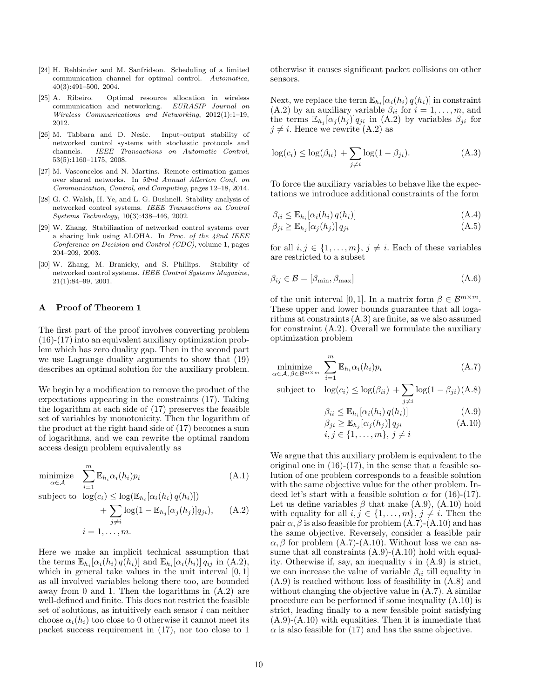- [24] H. Rehbinder and M. Sanfridson. Scheduling of a limited communication channel for optimal control. *Automatica*, 40(3):491–500, 2004.
- [25] A. Ribeiro. Optimal resource allocation in wireless communication and networking. *EURASIP Journal on Wireless Communications and Networking*, 2012(1):1–19, 2012.
- [26] M. Tabbara and D. Nesic. Input–output stability of networked control systems with stochastic protocols and channels. *IEEE Transactions on Automatic Control*, 53(5):1160–1175, 2008.
- [27] M. Vasconcelos and N. Martins. Remote estimation games over shared networks. In *52nd Annual Allerton Conf. on Communication, Control, and Computing*, pages 12–18, 2014.
- [28] G. C. Walsh, H. Ye, and L. G. Bushnell. Stability analysis of networked control systems. *IEEE Transactions on Control Systems Technology*, 10(3):438–446, 2002.
- [29] W. Zhang. Stabilization of networked control systems over a sharing link using ALOHA. In *Proc. of the 42nd IEEE Conference on Decision and Control (CDC)*, volume 1, pages 204–209, 2003.
- [30] W. Zhang, M. Branicky, and S. Phillips. Stability of networked control systems. *IEEE Control Systems Magazine*, 21(1):84–99, 2001.

# A Proof of Theorem 1

The first part of the proof involves converting problem (16)-(17) into an equivalent auxiliary optimization problem which has zero duality gap. Then in the second part we use Lagrange duality arguments to show that (19) describes an optimal solution for the auxiliary problem.

We begin by a modification to remove the product of the expectations appearing in the constraints (17). Taking the logarithm at each side of (17) preserves the feasible set of variables by monotonicity. Then the logarithm of the product at the right hand side of (17) becomes a sum of logarithms, and we can rewrite the optimal random access design problem equivalently as

$$
\underset{\alpha \in \mathcal{A}}{\text{minimize}} \quad \sum_{i=1}^{m} \mathbb{E}_{h_i} \alpha_i(h_i) p_i \tag{A.1}
$$

subject to  $\log(c_i) \leq \log(\mathbb{E}_{h_i}[\alpha_i(h_i) q(h_i)])$ 

$$
+\sum_{j\neq i}\log(1-\mathbb{E}_{h_j}[\alpha_j(h_j)]q_{ji}),\qquad(A.2)
$$

$$
i=1,\ldots,m.
$$

Here we make an implicit technical assumption that the terms  $\mathbb{E}_{h_i}[\alpha_i(h_i) q(h_i)]$  and  $\mathbb{E}_{h_i}[\alpha_i(h_i)] q_{ij}$  in  $(A.2)$ , which in general take values in the unit interval  $[0, 1]$ as all involved variables belong there too, are bounded away from 0 and 1. Then the logarithms in (A.2) are well-defined and finite. This does not restrict the feasible set of solutions, as intuitively each sensor  $i$  can neither choose  $\alpha_i(h_i)$  too close to 0 otherwise it cannot meet its packet success requirement in (17), nor too close to 1 otherwise it causes significant packet collisions on other sensors.

Next, we replace the term  $\mathbb{E}_{h_i}[\alpha_i(h_i) q(h_i)]$  in constraint (A.2) by an auxiliary variable  $\beta_{ii}$  for  $i = 1, \ldots, m$ , and the terms  $\mathbb{E}_{h_j}[\alpha_j(h_j)]q_{ji}$  in (A.2) by variables  $\beta_{ji}$  for  $j \neq i$ . Hence we rewrite (A.2) as

$$
\log(c_i) \le \log(\beta_{ii}) + \sum_{j \ne i} \log(1 - \beta_{ji}). \tag{A.3}
$$

To force the auxiliary variables to behave like the expectations we introduce additional constraints of the form

$$
\beta_{ii} \leq \mathbb{E}_{h_i} [\alpha_i(h_i) q(h_i)] \tag{A.4}
$$

$$
\beta_{ji} \ge \mathbb{E}_{h_j} [\alpha_j(h_j)] q_{ji} \tag{A.5}
$$

for all  $i, j \in \{1, \ldots, m\}, j \neq i$ . Each of these variables are restricted to a subset

$$
\beta_{ij} \in \mathcal{B} = [\beta_{\min}, \beta_{\max}] \tag{A.6}
$$

of the unit interval [0, 1]. In a matrix form  $\beta \in \mathcal{B}^{m \times m}$ . These upper and lower bounds guarantee that all logarithms at constraints (A.3) are finite, as we also assumed for constraint (A.2). Overall we formulate the auxiliary optimization problem

$$
\underset{\alpha \in \mathcal{A}, \ \beta \in \mathcal{B}^{m \times m}}{\text{minimize}} \sum_{i=1}^{m} \mathbb{E}_{h_i} \alpha_i(h_i) p_i \tag{A.7}
$$

subject to 
$$
\log(c_i) \leq \log(\beta_{ii}) + \sum_{j \neq i} \log(1 - \beta_{ji})
$$
 (A.8)

$$
\beta_{ii} \leq \mathbb{E}_{h_i}[\alpha_i(h_i) q(h_i)]
$$
\n
$$
\beta_{ji} \geq \mathbb{E}_{h_j}[\alpha_j(h_j)] q_{ji}
$$
\n
$$
(A.10)
$$
\n
$$
i, j \in \{1, ..., m\}, j \neq i
$$

We argue that this auxiliary problem is equivalent to the original one in  $(16)-(17)$ , in the sense that a feasible solution of one problem corresponds to a feasible solution with the same objective value for the other problem. Indeed let's start with a feasible solution  $\alpha$  for (16)-(17). Let us define variables  $\beta$  that make  $(A.9)$ ,  $(A.10)$  hold with equality for all  $i, j \in \{1, \ldots, m\}, j \neq i$ . Then the pair  $\alpha$ ,  $\beta$  is also feasible for problem (A.7)-(A.10) and has the same objective. Reversely, consider a feasible pair  $\alpha$ ,  $\beta$  for problem (A.7)-(A.10). Without loss we can assume that all constraints  $(A.9)-(A.10)$  hold with equality. Otherwise if, say, an inequality  $i$  in  $(A.9)$  is strict, we can increase the value of variable  $\beta_{ii}$  till equality in (A.9) is reached without loss of feasibility in (A.8) and without changing the objective value in (A.7). A similar procedure can be performed if some inequality (A.10) is strict, leading finally to a new feasible point satisfying (A.9)-(A.10) with equalities. Then it is immediate that  $\alpha$  is also feasible for (17) and has the same objective.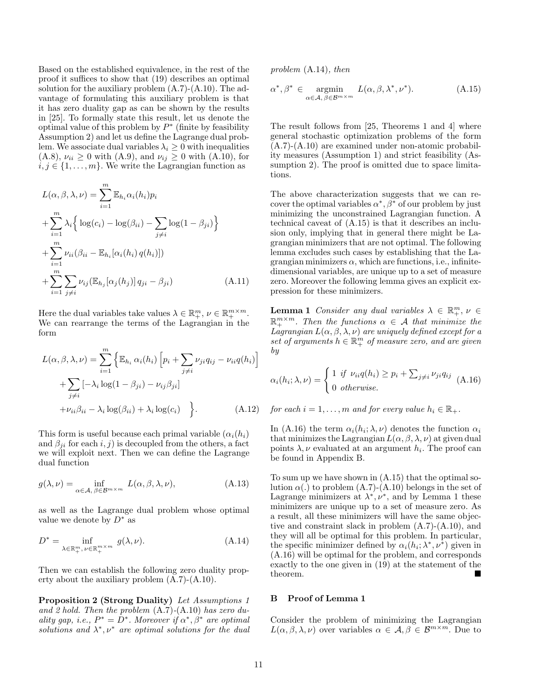Based on the established equivalence, in the rest of the proof it suffices to show that (19) describes an optimal solution for the auxiliary problem  $(A.7)-(A.10)$ . The advantage of formulating this auxiliary problem is that it has zero duality gap as can be shown by the results in [25]. To formally state this result, let us denote the optimal value of this problem by  $P^*$  (finite by feasibility Assumption 2) and let us define the Lagrange dual problem. We associate dual variables  $\lambda_i \geq 0$  with inequalities (A.8),  $\nu_{ii} \ge 0$  with (A.9), and  $\nu_{ij} \ge 0$  with (A.10), for  $i, j \in \{1, \ldots, m\}$ . We write the Lagrangian function as

$$
L(\alpha, \beta, \lambda, \nu) = \sum_{i=1}^{m} \mathbb{E}_{h_i} \alpha_i(h_i) p_i
$$
  
+ 
$$
\sum_{i=1}^{m} \lambda_i \Big\{ \log(c_i) - \log(\beta_{ii}) - \sum_{j \neq i} \log(1 - \beta_{ji}) \Big\}
$$
  
+ 
$$
\sum_{i=1}^{m} \nu_{ii} (\beta_{ii} - \mathbb{E}_{h_i} [\alpha_i(h_i) q(h_i)])
$$
  
+ 
$$
\sum_{i=1}^{m} \sum_{j \neq i} \nu_{ij} (\mathbb{E}_{h_j} [\alpha_j(h_j)] q_{ji} - \beta_{ji})
$$
 (A.11)

Here the dual variables take values  $\lambda \in \mathbb{R}^m_+$ ,  $\nu \in \mathbb{R}^{m \times m}_+$ . We can rearrange the terms of the Lagrangian in the form

$$
L(\alpha, \beta, \lambda, \nu) = \sum_{i=1}^{m} \left\{ \mathbb{E}_{h_i} \alpha_i(h_i) \left[ p_i + \sum_{j \neq i} \nu_{ji} q_{ij} - \nu_{ii} q(h_i) \right] + \sum_{j \neq i} \left[ -\lambda_i \log(1 - \beta_{ji}) - \nu_{ij} \beta_{ji} \right] + \nu_{ii} \beta_{ii} - \lambda_i \log(\beta_{ii}) + \lambda_i \log(c_i) \right\}.
$$
 (A.12)

This form is useful because each primal variable  $(\alpha_i(h_i))$ and  $\beta_{ii}$  for each i, j) is decoupled from the others, a fact we will exploit next. Then we can define the Lagrange dual function

$$
g(\lambda, \nu) = \inf_{\alpha \in \mathcal{A}, \ \beta \in \mathcal{B}^{m \times m}} L(\alpha, \beta, \lambda, \nu),
$$
 (A.13)

as well as the Lagrange dual problem whose optimal value we denote by  $D^*$  as

$$
D^* = \inf_{\lambda \in \mathbb{R}_+^m, \nu \in \mathbb{R}_+^{m \times m}} g(\lambda, \nu).
$$
 (A.14)

Then we can establish the following zero duality property about the auxiliary problem (A.7)-(A.10).

Proposition 2 (Strong Duality) Let Assumptions 1 and 2 hold. Then the problem  $(A.7)$ - $(A.10)$  has zero duality gap, i.e.,  $P^* = \overline{D^*}$ . Moreover if  $\alpha^*, \beta^*$  are optimal solutions and  $\lambda^*, \nu^*$  are optimal solutions for the dual

problem (A.14), then

$$
\alpha^*, \beta^* \in \operatorname*{argmin}_{\alpha \in \mathcal{A}, \, \beta \in \mathcal{B}^{m \times m}} L(\alpha, \beta, \lambda^*, \nu^*). \tag{A.15}
$$

The result follows from [25, Theorems 1 and 4] where general stochastic optimization problems of the form (A.7)-(A.10) are examined under non-atomic probability measures (Assumption 1) and strict feasibility (Assumption 2). The proof is omitted due to space limitations.

The above characterization suggests that we can recover the optimal variables  $\alpha^*, \beta^*$  of our problem by just minimizing the unconstrained Lagrangian function. A technical caveat of (A.15) is that it describes an inclusion only, implying that in general there might be Lagrangian minimizers that are not optimal. The following lemma excludes such cases by establishing that the Lagrangian minimizers  $\alpha$ , which are functions, i.e., infinitedimensional variables, are unique up to a set of measure zero. Moreover the following lemma gives an explicit expression for these minimizers.

**Lemma 1** Consider any dual variables  $\lambda \in \mathbb{R}_+^m$ ,  $\nu \in$  $\mathbb{R}_+^{m \times m}$ . Then the functions  $\alpha \in \mathcal{A}$  that minimize the Lagrangian  $L(\alpha, \beta, \lambda, \nu)$  are uniquely defined except for a set of arguments  $h \in \mathbb{R}_+^m$  of measure zero, and are given by

$$
\alpha_i(h_i; \lambda, \nu) = \begin{cases} 1 & \text{if } \nu_{ii}q(h_i) \ge p_i + \sum_{j \ne i} \nu_{ji}q_{ij} \\ 0 & \text{otherwise.} \end{cases} (A.16)
$$

for each  $i = 1, \ldots, m$  and for every value  $h_i \in \mathbb{R}_+$ .

In (A.16) the term  $\alpha_i(h_i; \lambda, \nu)$  denotes the function  $\alpha_i$ that minimizes the Lagrangian  $L(\alpha, \beta, \lambda, \nu)$  at given dual points  $\lambda, \nu$  evaluated at an argument  $h_i$ . The proof can be found in Appendix B.

To sum up we have shown in (A.15) that the optimal solution  $\alpha(.)$  to problem  $(A.7)-(A.10)$  belongs in the set of Lagrange minimizers at  $\lambda^*, \nu^*$ , and by Lemma 1 these minimizers are unique up to a set of measure zero. As a result, all these minimizers will have the same objective and constraint slack in problem (A.7)-(A.10), and they will all be optimal for this problem. In particular, the specific minimizer defined by  $\alpha_i(h_i; \lambda^*, \nu^*)$  given in (A.16) will be optimal for the problem, and corresponds exactly to the one given in (19) at the statement of the theorem.

## B Proof of Lemma 1

Consider the problem of minimizing the Lagrangian  $L(\alpha, \beta, \lambda, \nu)$  over variables  $\alpha \in \mathcal{A}, \beta \in \mathcal{B}^{m \times m}$ . Due to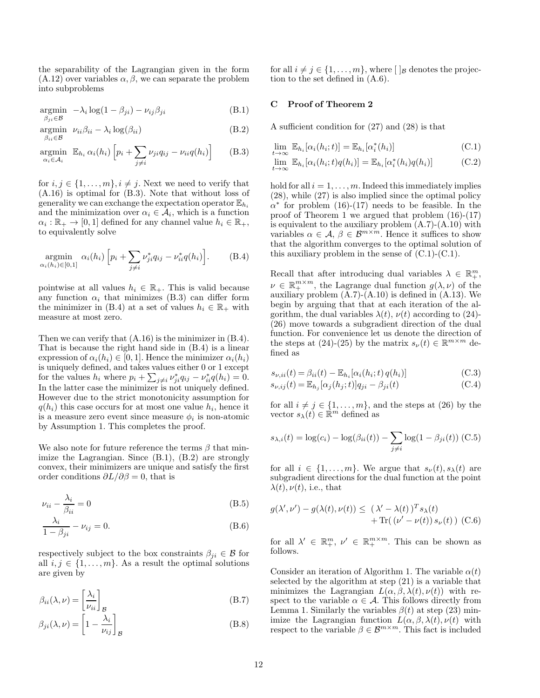the separability of the Lagrangian given in the form  $(A.12)$  over variables  $\alpha, \beta$ , we can separate the problem into subproblems

$$
\underset{\beta_{ji}\in\mathcal{B}}{\text{argmin}} \quad -\lambda_i \log(1-\beta_{ji}) - \nu_{ij}\beta_{ji} \tag{B.1}
$$

$$
\underset{\beta_{ii} \in \mathcal{B}}{\text{argmin}} \quad \nu_{ii}\beta_{ii} - \lambda_i \log(\beta_{ii}) \tag{B.2}
$$

$$
\underset{\alpha_i \in \mathcal{A}_i}{\text{argmin}} \quad \mathbb{E}_{h_i} \, \alpha_i(h_i) \left[ p_i + \sum_{j \neq i} \nu_{ji} q_{ij} - \nu_{ii} q(h_i) \right] \tag{B.3}
$$

for  $i, j \in \{1, \ldots, m\}, i \neq j$ . Next we need to verify that (A.16) is optimal for (B.3). Note that without loss of generality we can exchange the expectation operator  $\mathbb{E}_{h_i}$ and the minimization over  $\alpha_i \in \mathcal{A}_i$ , which is a function  $\alpha_i : \mathbb{R}_+ \to [0, 1]$  defined for any channel value  $h_i \in \mathbb{R}_+$ , to equivalently solve

$$
\underset{\alpha_{i}(h_{i}) \in [0,1]}{\text{argmin}} \ \alpha_{i}(h_{i}) \left[ p_{i} + \sum_{j \neq i} \nu_{ji}^{*} q_{ij} - \nu_{ii}^{*} q(h_{i}) \right]. \tag{B.4}
$$

pointwise at all values  $h_i \in \mathbb{R}_+$ . This is valid because any function  $\alpha_i$  that minimizes (B.3) can differ form the minimizer in (B.4) at a set of values  $h_i \in \mathbb{R}_+$  with measure at most zero.

Then we can verify that (A.16) is the minimizer in (B.4). That is because the right hand side in (B.4) is a linear expression of  $\alpha_i(h_i) \in [0, 1]$ . Hence the minimizer  $\alpha_i(h_i)$ is uniquely defined, and takes values either 0 or 1 except for the values  $h_i$  where  $p_i + \sum_{j \neq i} \nu_{ji}^* q_{ij} - \nu_{ii}^* q(h_i) = 0.$ In the latter case the minimizer is not uniquely defined. However due to the strict monotonicity assumption for  $q(h_i)$  this case occurs for at most one value  $h_i$ , hence it is a measure zero event since measure  $\phi_i$  is non-atomic by Assumption 1. This completes the proof.

We also note for future reference the terms  $\beta$  that minimize the Lagrangian. Since (B.1), (B.2) are strongly convex, their minimizers are unique and satisfy the first order conditions  $\partial L/\partial \beta = 0$ , that is

$$
\nu_{ii} - \frac{\lambda_i}{\beta_{ii}} = 0 \tag{B.5}
$$

$$
\frac{\lambda_i}{1 - \beta_{ji}} - \nu_{ij} = 0.
$$
 (B.6)

respectively subject to the box constraints  $\beta_{ji} \in \mathcal{B}$  for all  $i, j \in \{1, \ldots, m\}$ . As a result the optimal solutions are given by

$$
\beta_{ii}(\lambda,\nu) = \left[\frac{\lambda_i}{\nu_{ii}}\right]_{\mathcal{B}} \tag{B.7}
$$

$$
\beta_{ji}(\lambda,\nu) = \left[1 - \frac{\lambda_i}{\nu_{ij}}\right]_{\mathcal{B}}
$$
\n(B.8)

for all  $i \neq j \in \{1, \ldots, m\}$ , where  $\lceil \lg \right|$  denotes the projection to the set defined in (A.6).

# C Proof of Theorem 2

A sufficient condition for (27) and (28) is that

$$
\lim_{t \to \infty} \mathbb{E}_{h_i}[\alpha_i(h_i; t)] = \mathbb{E}_{h_i}[\alpha_i^*(h_i)] \tag{C.1}
$$

$$
\lim_{t \to \infty} \mathbb{E}_{h_i}[\alpha_i(h_i; t)q(h_i)] = \mathbb{E}_{h_i}[\alpha_i^*(h_i)q(h_i)] \tag{C.2}
$$

hold for all  $i = 1, \ldots, m$ . Indeed this immediately implies (28), while (27) is also implied since the optimal policy  $\alpha^*$  for problem (16)-(17) needs to be feasible. In the proof of Theorem 1 we argued that problem (16)-(17) is equivalent to the auxiliary problem (A.7)-(A.10) with variables  $\alpha \in \mathcal{A}, \beta \in \mathcal{B}^{m \times m}$ . Hence it suffices to show that the algorithm converges to the optimal solution of this auxiliary problem in the sense of  $(C.1)-(C.1)$ .

Recall that after introducing dual variables  $\lambda \in \mathbb{R}^m_+$ ,  $\nu \in \mathbb{R}_+^{m \times m}$ , the Lagrange dual function  $g(\lambda, \nu)$  of the auxiliary problem  $(A.7)-(A.10)$  is defined in  $(A.13)$ . We begin by arguing that that at each iteration of the algorithm, the dual variables  $\lambda(t)$ ,  $\nu(t)$  according to (24)-(26) move towards a subgradient direction of the dual function. For convenience let us denote the direction of the steps at (24)-(25) by the matrix  $s_{\nu}(t) \in \mathbb{R}^{m \times m}$  defined as

$$
s_{\nu,ii}(t) = \beta_{ii}(t) - \mathbb{E}_{h_i}[\alpha_i(h_i; t) q(h_i)] \tag{C.3}
$$

$$
s_{\nu,ij}(t) = \mathbb{E}_{h_j}[\alpha_j(h_j; t)]q_{ji} - \beta_{ji}(t)
$$
\n(C.4)

for all  $i \neq j \in \{1, \ldots, m\}$ , and the steps at (26) by the vector  $s_{\lambda}(t) \in \mathbb{R}^m$  defined as

$$
s_{\lambda,i}(t) = \log(c_i) - \log(\beta_{ii}(t)) - \sum_{j \neq i} \log(1 - \beta_{ji}(t))
$$
 (C.5)

for all  $i \in \{1, \ldots, m\}$ . We argue that  $s_{\nu}(t), s_{\lambda}(t)$  are subgradient directions for the dual function at the point  $\lambda(t), \nu(t)$ , i.e., that

$$
g(\lambda', \nu') - g(\lambda(t), \nu(t)) \leq (\lambda' - \lambda(t))^T s_{\lambda}(t)
$$
  
+ Tr( $(\nu' - \nu(t)) s_{\nu}(t)$ ) (C.6)

for all  $\lambda' \in \mathbb{R}^m_+$ ,  $\nu' \in \mathbb{R}^{m \times m}_+$ . This can be shown as follows.

Consider an iteration of Algorithm 1. The variable  $\alpha(t)$ selected by the algorithm at step (21) is a variable that minimizes the Lagrangian  $L(\alpha, \beta, \lambda(t), \nu(t))$  with respect to the variable  $\alpha \in \mathcal{A}$ . This follows directly from Lemma 1. Similarly the variables  $\beta(t)$  at step (23) minimize the Lagrangian function  $L(\alpha, \beta, \lambda(t), \nu(t))$  with respect to the variable  $\beta \in \mathcal{B}^{m \times m}$ . This fact is included